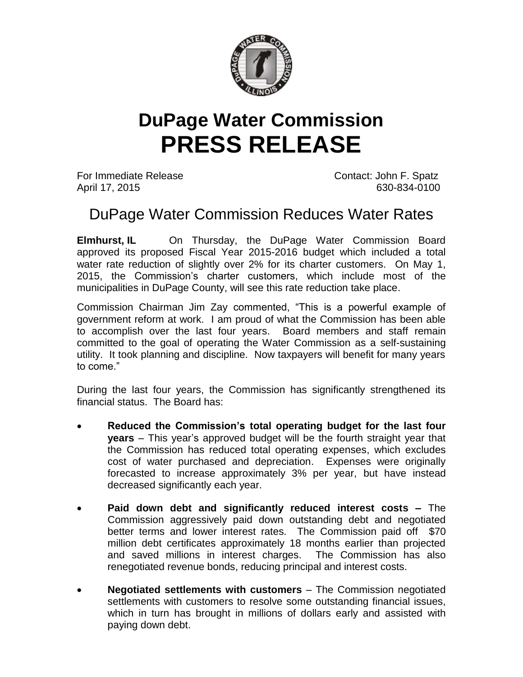

## **DuPage Water Commission PRESS RELEASE**

For Immediate Release Contact: John F. Spatz April 17, 2015 630-834-0100

## DuPage Water Commission Reduces Water Rates

**Elmhurst, IL** On Thursday, the DuPage Water Commission Board approved its proposed Fiscal Year 2015-2016 budget which included a total water rate reduction of slightly over 2% for its charter customers. On May 1, 2015, the Commission's charter customers, which include most of the municipalities in DuPage County, will see this rate reduction take place.

Commission Chairman Jim Zay commented, "This is a powerful example of government reform at work. I am proud of what the Commission has been able to accomplish over the last four years. Board members and staff remain committed to the goal of operating the Water Commission as a self-sustaining utility. It took planning and discipline. Now taxpayers will benefit for many years to come."

During the last four years, the Commission has significantly strengthened its financial status. The Board has:

- **Reduced the Commission's total operating budget for the last four years** – This year's approved budget will be the fourth straight year that the Commission has reduced total operating expenses, which excludes cost of water purchased and depreciation. Expenses were originally forecasted to increase approximately 3% per year, but have instead decreased significantly each year.
- **Paid down debt and significantly reduced interest costs –** The Commission aggressively paid down outstanding debt and negotiated better terms and lower interest rates. The Commission paid off \$70 million debt certificates approximately 18 months earlier than projected and saved millions in interest charges. The Commission has also renegotiated revenue bonds, reducing principal and interest costs.
- **Negotiated settlements with customers** The Commission negotiated settlements with customers to resolve some outstanding financial issues, which in turn has brought in millions of dollars early and assisted with paying down debt.